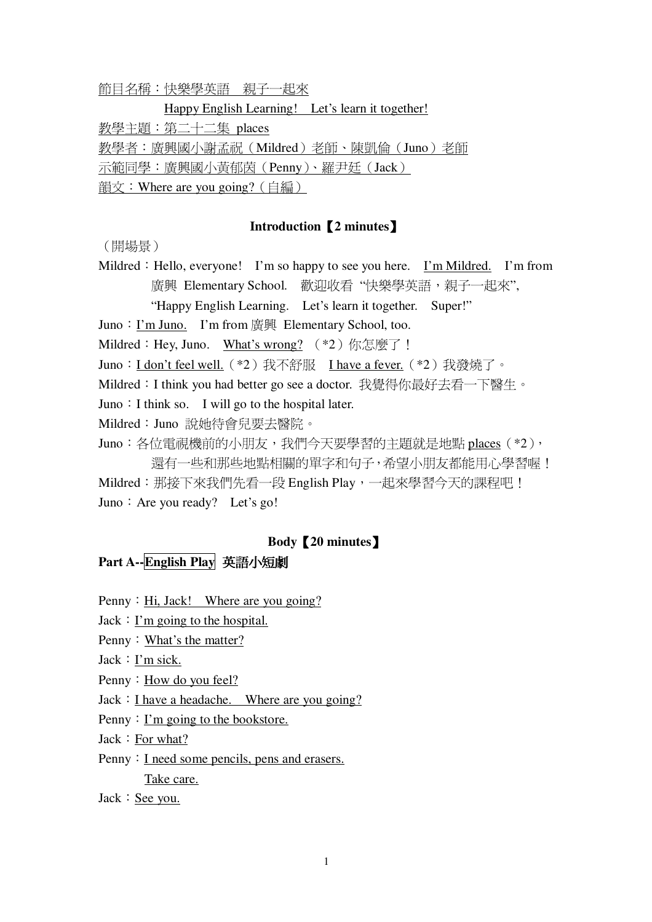節目名稱:快樂學英語 親子一起來

Happy English Learning! Let's learn it together!

教學主題:第二十二集 places

教學者:廣興國小謝孟祝(Mildred)老師、陳凱倫(Juno)老師

示範同學:廣興國小黃郁茵(Penny)、羅尹廷(Jack)

韻文:Where are you going?  $($ 自編 $)$ 

#### **Introduction2 minutes**-

(開場景)

Mildred: Hello, everyone! I'm so happy to see you here. I'm Mildred. I'm from 廣興 Elementary School. 歡迎收看 "快樂學英語,親子一起來",

"Happy English Learning. Let's learn it together. Super!"

Juno: I'm Juno. I'm from 廣興 Elementary School, too.

Mildred: Hey, Juno. What's wrong? (\*2) 你怎麼了!

Juno: I don't feel well. (\*2) 我不舒服 I have a fever. (\*2) 我發燒了。

Mildred: I think you had better go see a doctor. 我覺得你最好去看一下醫生。

Juno: I think so. I will go to the hospital later.

Mildred: Juno 說她待會兒要去醫院。

Juno: 各位電視機前的小朋友,我們今天要學習的主題就是地點 places (\*2), 還有一些和那些地點相關的單字和句子,希望小朋友都能用心學習喔! Mildred:那接下來我們先看一段 English Play,一起來學習今天的課程吧! Juno: Are you ready? Let's go!

#### **Body20 minutes**-

## **Part A--English Play**

Penny: Hi, Jack! Where are you going?

 $Jack: I'm going to the hospital.$ 

Penny: What's the matter?

 $Jack: I'm sick.$ 

Penny: How do you feel?

 $Jack: I have a headache. Where are you going?$ 

Penny:  $\Gamma$ 'm going to the bookstore.

 $Jack: For what?$ 

Penny: I need some pencils, pens and erasers.

Take care.

 $Jack: See$  you.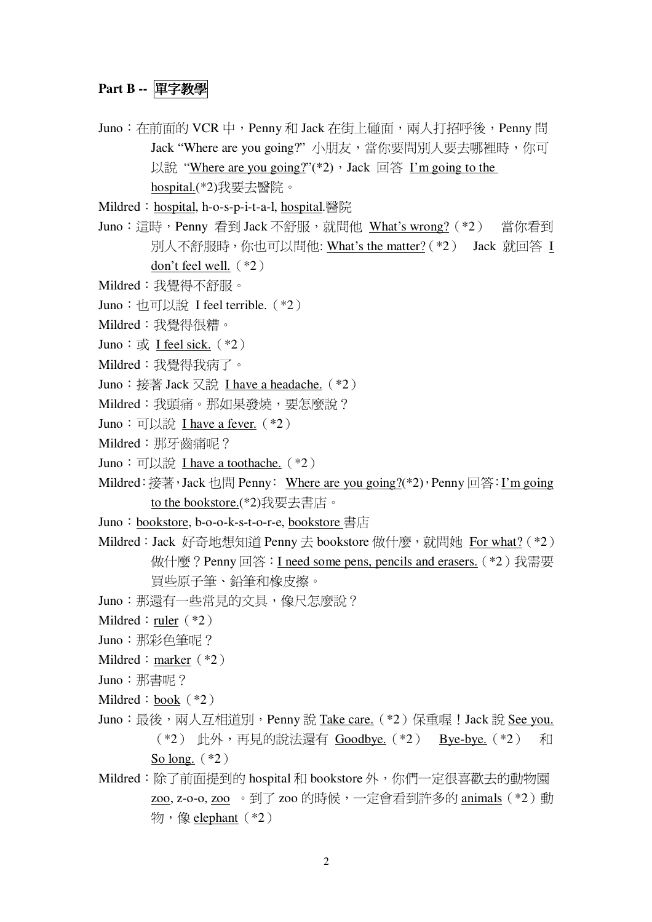## Part B -- 單字教學

Juno: 在前面的 VCR 中, Penny 和 Jack 在街上碰面, 兩人打招呼後, Penny 問 Jack "Where are you going?"小朋友,當你要問別人要去哪裡時,你可 以說 "Where are you going?"(\*2), Jack 回答 I'm going to the hospital.(\*2)我要去醫院。

Mildred: hospital, h-o-s-p-i-t-a-l, hospital.醫院

- Juno:這時, Penny 看到 Jack 不舒服, 就問他 What's wrong? (\*2) 當你看到 別人不舒服時,你也可以問他: What's the matter? (\*2) Jack 就回答 I don't feel well.  $(*2)$
- Mildred:我覺得不舒服。
- Juno: 也可以說 I feel terrible. (\*2)
- Mildred:我覺得很糟。
- Juno:  $\overrightarrow{\mathbf{w}}$ . I feel sick. (\*2)
- Mildred:我覺得我病了。
- Juno: 接著 Jack 又說 I have a headache. (\*2)
- Mildred: 我頭痛。那如果發燒, 要怎麼說?
- Juno: 可以說 I have a fever. (\*2)
- Mildred: 那牙齒痛呢?
- Juno: 可以說 I have a toothache.  $(*2)$
- Mildred: 接著, Jack 也問 Penny: Where are you going?(\*2), Penny 回答: I'm going to the bookstore.(\*2)我要去書店。
- Juno: bookstore, b-o-o-k-s-t-o-r-e, bookstore 書店
- Mildred: Jack 好奇地想知道 Penny 去 bookstore 做什麼, 就問她 For what? (\*2) 做什麼? Penny 回答: I need some pens, pencils and erasers. (\*2) 我需要 冒些原子筆、鉛筆和橡皮擦。
- Juno: 那還有一些常見的文具,像尺怎麼說?
- Mildred : ruler  $(*2)$
- Juno: 那彩色筆呢?
- Mildred : marker  $(*2)$
- Juno: 那書呢?
- Mildred :  $book$  (\*2)
- Juno: 最後, 兩人互相道別, Penny 說 Take care. (\*2) 保重喔! Jack 說 See you. (\*2) 此外,再見的說法還有 Goodbye. (\*2) Bye-bye. (\*2) 和 So long.  $(*2)$
- Mildred: 除了前面提到的 hospital 和 bookstore 外, 你們一定很喜歡去的動物園 zoo, z-o-o, zoo 。到了 zoo 的時候, 一定會看到許多的 animals (\*2) 動 物,像elephant $(*2)$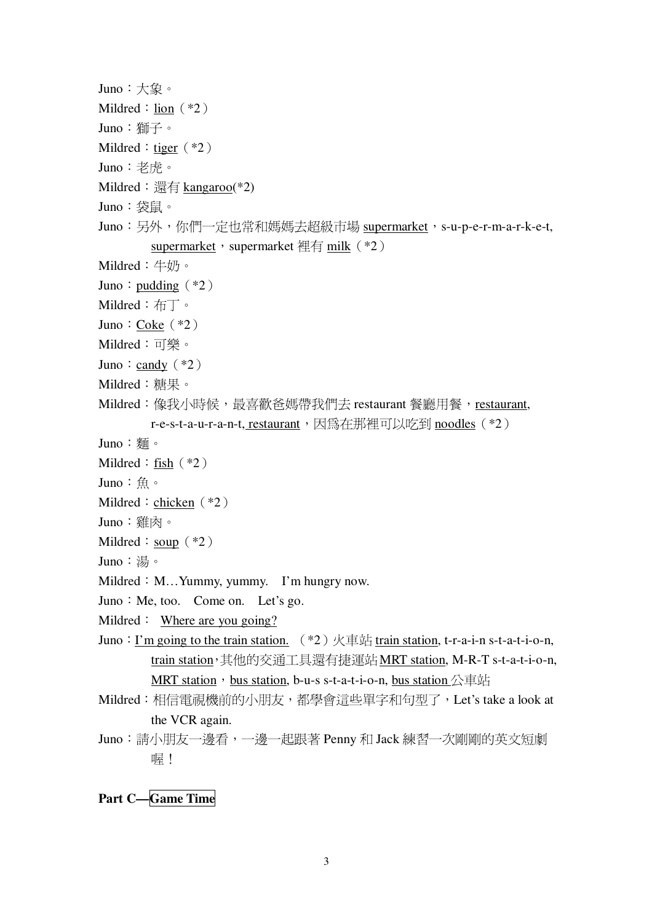```
Juno:大象。
Mildred : lion (*2)Juno: 獅子。
Mildred : tiger (*2)Juno:老虎。
Mildred: 還有 kangaroo(*2)
Juno:袋鼠。
Juno:另外,你們一定也常和媽媽去超級市場 supermarket,s-u-p-e-r-m-a-r-k-e-t,
        supermarket; supermarket \frac{1}{4} milk (\frac{1}{2})
Mildred:牛奶。
Juno: pudding (*2)Mildred: \overline{\text{f} \text{f}} .
Juno: Coke (*2)Mildred:可樂。
Juno: candy (*2)Mildred:糖果。
Mildred:像我小時候,最喜歡爸媽帶我們去 restaurant 餐廳用餐, restaurant,
        r-e-s-t-a-u-r-a-n-t, restaurant, 因為在那裡可以吃到 noodles (*2)
Juno: 麵。
Mildred : fish (*2)Juno:魚。
Mildred : chicken (*2)Juno:雞肉。
Mildred : soup (*2)Juno:湯。
Mildred : M_{\cdots} Yummy, yummy. I'm hungry now.
Juno: Me, too. Come on. Let's go.
Mildred : Where are you going?
Juno: I'm going to the train station. (*2) \nleftrightarrow \nexists train station, t-r-a-i-n s-t-a-t-i-o-n,
        train station, 其他的交通工具還有捷運站 MRT station, M-R-T s-t-a-t-i-o-n,
        MRT station, bus station, b-u-s s-t-a-t-i-o-n, bus station \triangle \bar{\texttt{H}} \text{if}Mildred: 相信電視機前的小朋友,都學會這些單字和句型了, Let's take a look at
        the VCR again.
Juno:請小朋友一邊看,一邊一起跟著 Penny 和 Jack 練習一次剛剛的英文短劇
        喔!
```
**Part C—Game Time**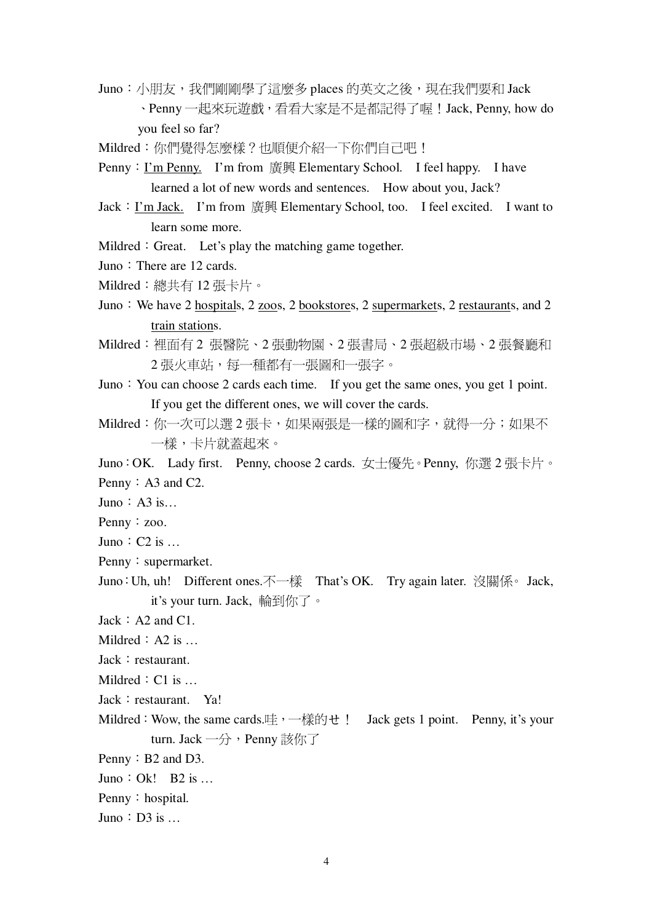Juno:小朋友,我們剛剛學了這麼多 places 的英文之後,現在我們要和 Jack 、Penny 一起來玩遊戲, 看看大家是不是都記得了喔!Jack, Penny, how do you feel so far?

Mildred: 你們覺得怎麼樣?也順便介紹一下你們自己吧!

Penny: I'm Penny. I'm from 廣興 Elementary School. I feel happy. I have learned a lot of new words and sentences. How about you, Jack?

- Jack : <u>I'm Jack.</u> I'm from 廣興 Elementary School, too. I feel excited. I want to learn some more.
- Mildred : Great. Let's play the matching game together.
- Juno: There are 12 cards.

Mildred: 總共有12張卡片。

- Juno: We have 2 hospitals, 2 zoos, 2 bookstores, 2 supermarkets, 2 restaurants, and 2 train stations.
- Mildred:裡面有2張醫院、2張動物園、2張書局、2張超級市場、2張餐廳和 2 張火車站,每一種都有一張圖和一張字。
- Juno: You can choose 2 cards each time. If you get the same ones, you get 1 point. If you get the different ones, we will cover the cards.
- Mildred: 你一次可以選2張卡, 如果兩張是一樣的圖和字, 就得一分; 如果不 一樣,卡片就蓋起來。
- Juno: OK. Lady first. Penny, choose 2 cards. 女十優先。Penny, 你選2張卡片。 Penny  $: A3$  and C2.
- Juno:  $A3$  is...
- Penny  $: zoo$ .
- Juno:  $C2$  is ...
- Penny: supermarket.
- Juno: Uh, uh! Different ones. 不一樣 That's OK. Try again later. 沒關係。Jack, it's your turn. Jack, 輪到你了。
- $Jack : A2$  and  $C1$ .
- Mildred  $: A2$  is ...
- $Jack : restaurant.$
- Mildred  $: C1$  is
- Jack: restaurant. Ya!
- Mildred: Wow, the same cards.哇, 一樣的せ! Jack gets 1 point. Penny, it's your turn. Jack 一分, Penny 該你了
- Penny  $\colon$  B2 and D3.
- Juno: Ok! B2 is ...
- Penny: hospital.
- Juno:  $D3$  is ...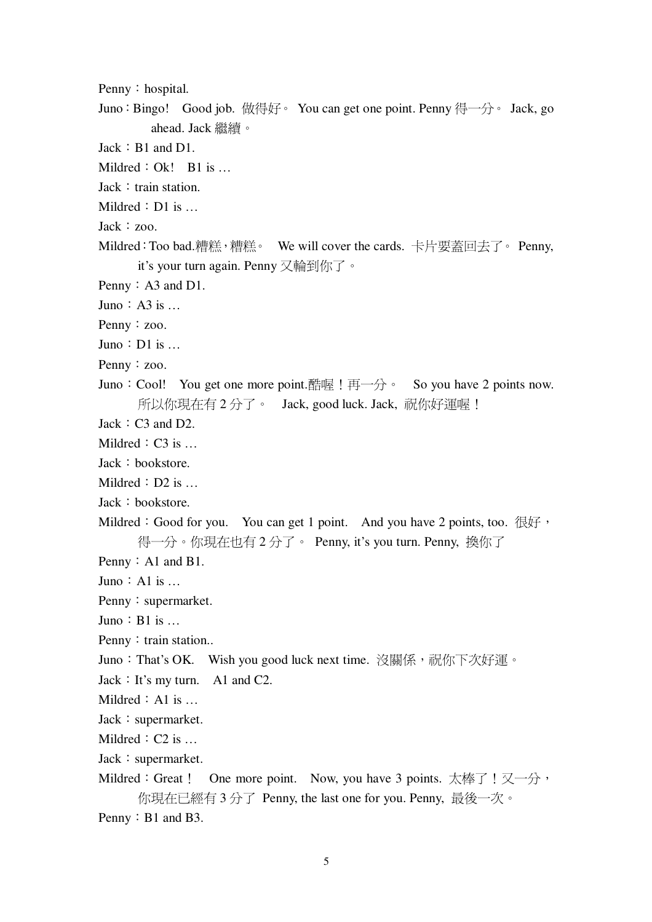- Penny: hospital.
- Juno: Bingo! Good job. 做得好。You can get one point. Penny 得一分。Jack, go ahead. Jack 繼續。
- $Jack : B1$  and  $D1$ .
- Mildred  $: Ok!$  B1 is ...
- $Jack: train station.$
- Mildred  $:D1$  is  $\ldots$
- $Jack : zoo.$
- Mildred: Too bad.糟糕,糟糕。 We will cover the cards. 卡片要蓋回去了。 Penny, it's your turn again. Penny 又輪到你了。
- Penny  $: A3$  and D1.
- Juno:  $A3$  is  $\dots$
- Penny : zoo.
- Juno:  $D1$  is  $\dots$
- Penny : zoo.
- Juno: Cool! You get one more point.酷喔!再一分。 So you have 2 points now. 所以你現在有2分了。 Jack, good luck. Jack, 祝你好運喔!
- $Jack: C3$  and  $D2$ .
- Mildred  $: C3$  is  $...$
- $Jack : bookstore.$
- Mildred  $: D2$  is  $...$
- $Jack : bookstore.$
- Mildred: Good for you. You can get 1 point. And you have 2 points, too.  $\mathcal{R}f$ 得一分。你現在也有2分了。 Penny, it's you turn. Penny, 換你了
- Penny  $:$  A1 and B1.
- Juno  $:$  A1 is  $\ldots$
- Penny: supermarket.
- Juno:  $B1$  is  $\dots$
- Penny: train station...
- Juno: That's OK. Wish you good luck next time. 沒關係, 祝你下次好運。
- $Jack: It's my turn.$  A1 and C2.
- Mildred  $:$  A1 is  $\ldots$
- $Jack: supermarket.$
- Mildred  $: C2$  is  $...$
- $Jack: supermarket.$
- Mildred: Great ! One more point. Now, you have 3 points. 太棒了 ! 又一分, 你現在已經有 3 分了 Penny, the last one for you. Penny, 最後一次。
- Penny  $\colon$  B1 and B3.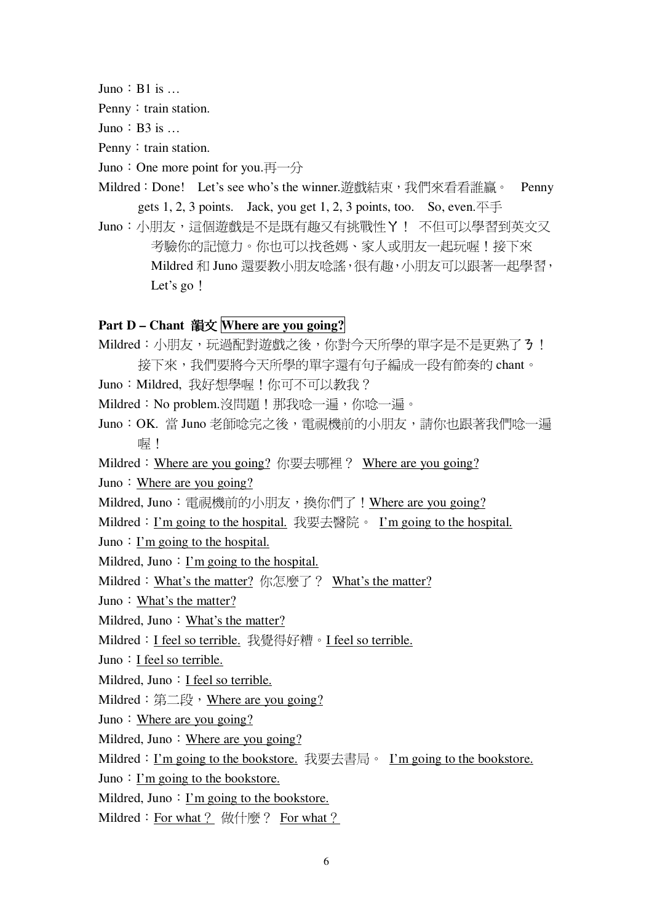Juno:  $B1$  is  $\dots$ 

Penny: train station.

Juno:  $B3$  is  $\dots$ 

Penny: train station.

Juno: One more point for you. $\overline{H}$   $\rightarrow$   $\overline{\rightarrow}$ 

- Mildred: Done! Let's see who's the winner.游戲結束,我們來看看誰贏。 Penny gets 1, 2, 3 points. Jack, you get 1, 2, 3 points, too. So, even.  $\overline{\mathcal{F}}$
- Juno:小朋友,這個遊戲是不是既有趣又有挑戰性Y! 不但可以學習到英文又 考驗你的記憶力。你也可以找爸媽、家人或朋友一起玩喔!接下來 Mildred 和 Juno 還要教小朋友唸謠,很有趣,小朋友可以跟著一起學習, Let's go!

# **Part D – Chant Where are you going?**

- Mildred:小朋友,玩過配對遊戲之後,你對今天所學的單字是不是更熟了3!
- 接下來,我們要將今天所學的單字還有句子編成一段有節奏的 chant。 Juno: Mildred, 我好想學喔!你可不可以教我?
- Mildred: No problem.沒問題!那我唸一遍,你唸一遍。
- Juno:OK. 當 Juno 老師唸完之後,電視機前的小朋友,請你也跟著我們唸一遍 喔!
- Mildred: Where are you going? 你要去哪裡? Where are you going?

Juno: Where are you going?

- Mildred, Juno: 電視機前的小朋友,換你們了! Where are you going?
- Mildred: I'm going to the hospital. 我要去醫院。I'm going to the hospital.
- Juno: I'm going to the hospital.
- Mildred, Juno: I'm going to the hospital.
- Mildred: What's the matter? 你怎麼了? What's the matter?
- Juno: What's the matter?
- Mildred, Juno: What's the matter?
- Mildred: I feel so terrible. 我覺得好糟。I feel so terrible.
- Juno: I feel so terrible.
- Mildred, Juno: I feel so terrible.
- Mildred: 第二段, Where are you going?
- Juno: Where are you going?
- Mildred, Juno: Where are you going?
- Mildred: <u>I'm going to the bookstore.</u> 我要去書局。 I'm going to the bookstore.
- Juno: I'm going to the bookstore.

Mildred, Juno: I'm going to the bookstore.

Mildred: For what ? 做什麼? For what ?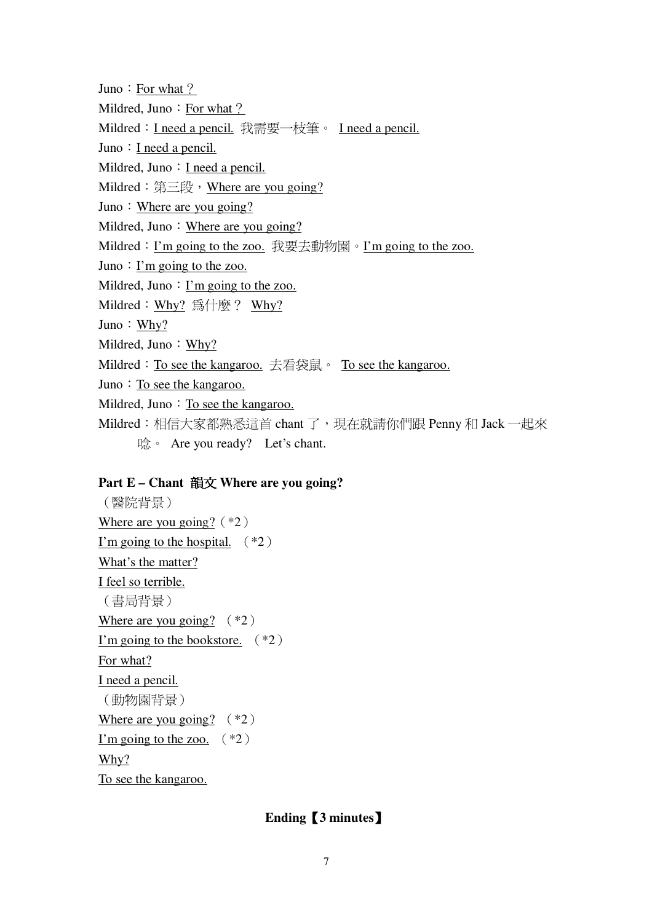Juno: For what? Mildred, Juno: For what? Mildred: I need a pencil. 我需要一枝筆。 I need a pencil. Juno  $: I$  need a pencil. Mildred, Juno  $: I$  need a pencil. Mildred: 第三段, Where are you going? Juno: Where are you going? Mildred, Juno: Where are you going? Mildred: I'm going to the zoo. 我要去動物園。I'm going to the zoo. Juno: I'm going to the zoo. Mildred, Juno: I'm going to the zoo. Mildred: Why? 為什麼? Why? Juno:  $Why?$ Mildred, Juno: Why? Mildred: To see the kangaroo. 去看袋鼠。 To see the kangaroo. Juno: To see the kangaroo. Mildred, Juno: To see the kangaroo. Mildred: 相信大家都熟悉這首 chant 了, 現在就請你們跟 Penny 和 Jack 一起來 唸。 Are you ready? Let's chant.

### Part E – Chant 韻文 Where are you going?

(醫院背景) Where are you going?  $(*2)$ I'm going to the hospital.  $(*2)$ What's the matter? I feel so terrible. (書局背景) Where are you going?  $(*2)$ I'm going to the bookstore.  $(*2)$ For what? I need a pencil. (動物園背景) Where are you going?  $(*2)$ I'm going to the zoo.  $(*2)$  $Why?$ To see the kangaroo.

## Ending [3 minutes]